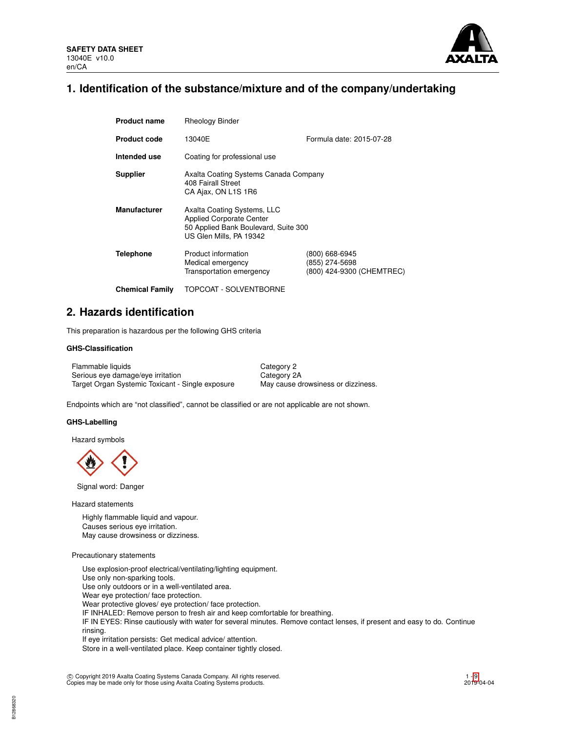

# **1. Identification of the substance/mixture and of the company/undertaking**

| <b>Product name</b>    | <b>Rheology Binder</b>                                                                                                            |                                                               |  |  |  |
|------------------------|-----------------------------------------------------------------------------------------------------------------------------------|---------------------------------------------------------------|--|--|--|
| <b>Product code</b>    | 13040E                                                                                                                            | Formula date: 2015-07-28                                      |  |  |  |
| Intended use           | Coating for professional use                                                                                                      |                                                               |  |  |  |
| <b>Supplier</b>        | Axalta Coating Systems Canada Company<br>408 Fairall Street<br>CA Ajax, ON L1S 1R6                                                |                                                               |  |  |  |
| <b>Manufacturer</b>    | Axalta Coating Systems, LLC<br><b>Applied Corporate Center</b><br>50 Applied Bank Boulevard, Suite 300<br>US Glen Mills, PA 19342 |                                                               |  |  |  |
| Telephone              | Product information<br>Medical emergency<br>Transportation emergency                                                              | (800) 668-6945<br>(855) 274-5698<br>(800) 424-9300 (CHEMTREC) |  |  |  |
| <b>Chemical Family</b> | TOPCOAT - SOLVENTBORNE                                                                                                            |                                                               |  |  |  |

# **2. Hazards identification**

This preparation is hazardous per the following GHS criteria

### **GHS-Classification**

Flammable liquids Category 2 Serious eye damage/eye irritation Category 2A Target Organ Systemic Toxicant - Single exposure May cause drowsiness or dizziness.

Endpoints which are "not classified", cannot be classified or are not applicable are not shown.

### **GHS-Labelling**

Hazard symbols

Signal word: Danger

Hazard statements

Highly flammable liquid and vapour. Causes serious eye irritation. May cause drowsiness or dizziness.

### Precautionary statements

Use explosion-proof electrical/ventilating/lighting equipment. Use only non-sparking tools. Use only outdoors or in a well-ventilated area. Wear eye protection/ face protection. Wear protective gloves/ eye protection/ face protection. IF INHALED: Remove person to fresh air and keep comfortable for breathing. IF IN EYES: Rinse cautiously with water for several minutes. Remove contact lenses, if present and easy to do. Continue rinsing. If eye irritation persists: Get medical advice/ attention.

Store in a well-ventilated place. Keep container tightly closed.

c Copyright 2019 Axalta Coating Systems Canada Company. All rights reserved. Copies may be made only for those using Axalta Coating Systems products.

1 - [9](#page-8-0)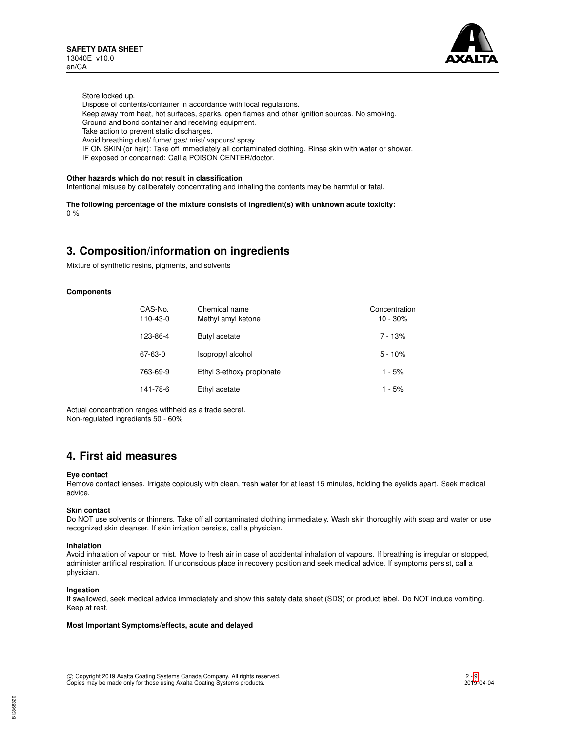

Store locked up.

- Dispose of contents/container in accordance with local regulations.
- Keep away from heat, hot surfaces, sparks, open flames and other ignition sources. No smoking.
- Ground and bond container and receiving equipment.
- Take action to prevent static discharges.
- Avoid breathing dust/ fume/ gas/ mist/ vapours/ spray.
- IF ON SKIN (or hair): Take off immediately all contaminated clothing. Rinse skin with water or shower.
- IF exposed or concerned: Call a POISON CENTER/doctor.

### **Other hazards which do not result in classification**

Intentional misuse by deliberately concentrating and inhaling the contents may be harmful or fatal.

**The following percentage of the mixture consists of ingredient(s) with unknown acute toxicity:**  $0%$ 

# **3. Composition/information on ingredients**

Mixture of synthetic resins, pigments, and solvents

### **Components**

| CAS-No.  | Chemical name             | Concentration |
|----------|---------------------------|---------------|
| 110-43-0 | Methyl amyl ketone        | $10 - 30\%$   |
| 123-86-4 | Butyl acetate             | $7 - 13%$     |
| 67-63-0  | Isopropyl alcohol         | $5 - 10%$     |
| 763-69-9 | Ethyl 3-ethoxy propionate | $1 - 5%$      |
| 141-78-6 | Ethyl acetate             | $1 - 5%$      |

Actual concentration ranges withheld as a trade secret. Non-regulated ingredients 50 - 60%

# **4. First aid measures**

### **Eye contact**

Remove contact lenses. Irrigate copiously with clean, fresh water for at least 15 minutes, holding the eyelids apart. Seek medical advice.

### **Skin contact**

Do NOT use solvents or thinners. Take off all contaminated clothing immediately. Wash skin thoroughly with soap and water or use recognized skin cleanser. If skin irritation persists, call a physician.

### **Inhalation**

Avoid inhalation of vapour or mist. Move to fresh air in case of accidental inhalation of vapours. If breathing is irregular or stopped, administer artificial respiration. If unconscious place in recovery position and seek medical advice. If symptoms persist, call a physician.

### **Ingestion**

If swallowed, seek medical advice immediately and show this safety data sheet (SDS) or product label. Do NOT induce vomiting. Keep at rest.

## **Most Important Symptoms/effects, acute and delayed**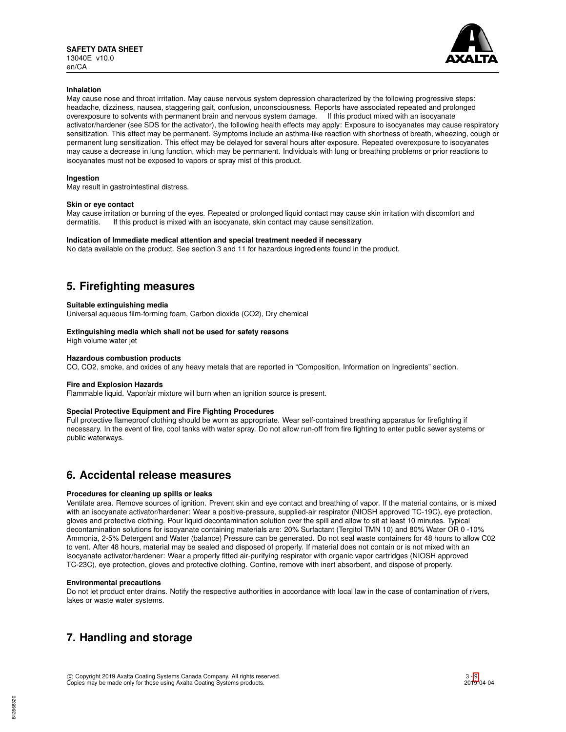

### **Inhalation**

May cause nose and throat irritation. May cause nervous system depression characterized by the following progressive steps: headache, dizziness, nausea, staggering gait, confusion, unconsciousness. Reports have associated repeated and prolonged overexposure to solvents with permanent brain and nervous system damage. If this product mixed with an isocyanate activator/hardener (see SDS for the activator), the following health effects may apply: Exposure to isocyanates may cause respiratory sensitization. This effect may be permanent. Symptoms include an asthma-like reaction with shortness of breath, wheezing, cough or permanent lung sensitization. This effect may be delayed for several hours after exposure. Repeated overexposure to isocyanates may cause a decrease in lung function, which may be permanent. Individuals with lung or breathing problems or prior reactions to isocyanates must not be exposed to vapors or spray mist of this product.

### **Ingestion**

May result in gastrointestinal distress.

### **Skin or eye contact**

May cause irritation or burning of the eyes. Repeated or prolonged liquid contact may cause skin irritation with discomfort and dermatitis If this product is mixed with an isocvanate skin contact may cause sensitization If this product is mixed with an isocyanate, skin contact may cause sensitization.

### **Indication of Immediate medical attention and special treatment needed if necessary**

No data available on the product. See section 3 and 11 for hazardous ingredients found in the product.

# **5. Firefighting measures**

### **Suitable extinguishing media**

Universal aqueous film-forming foam, Carbon dioxide (CO2), Dry chemical

### **Extinguishing media which shall not be used for safety reasons**

High volume water jet

### **Hazardous combustion products**

CO, CO2, smoke, and oxides of any heavy metals that are reported in "Composition, Information on Ingredients" section.

### **Fire and Explosion Hazards**

Flammable liquid. Vapor/air mixture will burn when an ignition source is present.

# **Special Protective Equipment and Fire Fighting Procedures**

Full protective flameproof clothing should be worn as appropriate. Wear self-contained breathing apparatus for firefighting if necessary. In the event of fire, cool tanks with water spray. Do not allow run-off from fire fighting to enter public sewer systems or public waterways.

# **6. Accidental release measures**

### **Procedures for cleaning up spills or leaks**

Ventilate area. Remove sources of ignition. Prevent skin and eye contact and breathing of vapor. If the material contains, or is mixed with an isocyanate activator/hardener: Wear a positive-pressure, supplied-air respirator (NIOSH approved TC-19C), eye protection, gloves and protective clothing. Pour liquid decontamination solution over the spill and allow to sit at least 10 minutes. Typical decontamination solutions for isocyanate containing materials are: 20% Surfactant (Tergitol TMN 10) and 80% Water OR 0 -10% Ammonia, 2-5% Detergent and Water (balance) Pressure can be generated. Do not seal waste containers for 48 hours to allow C02 to vent. After 48 hours, material may be sealed and disposed of properly. If material does not contain or is not mixed with an isocyanate activator/hardener: Wear a properly fitted air-purifying respirator with organic vapor cartridges (NIOSH approved TC-23C), eye protection, gloves and protective clothing. Confine, remove with inert absorbent, and dispose of properly.

### **Environmental precautions**

Do not let product enter drains. Notify the respective authorities in accordance with local law in the case of contamination of rivers, lakes or waste water systems.

# **7. Handling and storage**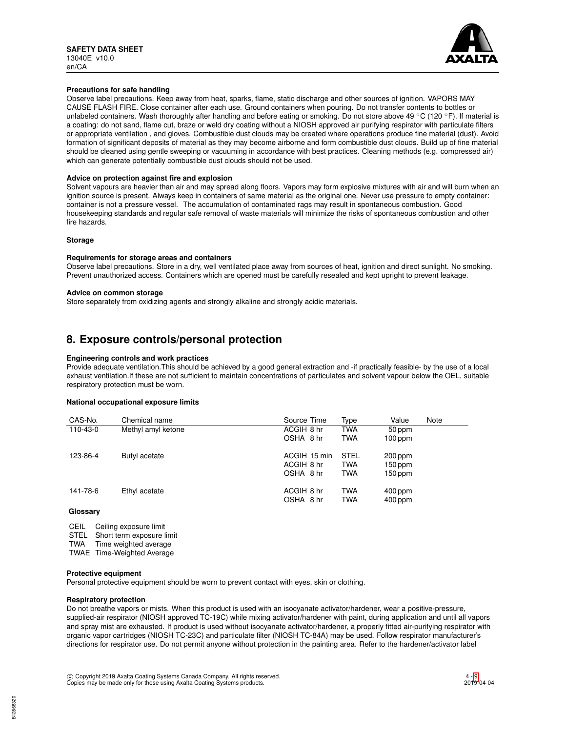

### **Precautions for safe handling**

Observe label precautions. Keep away from heat, sparks, flame, static discharge and other sources of ignition. VAPORS MAY CAUSE FLASH FIRE. Close container after each use. Ground containers when pouring. Do not transfer contents to bottles or unlabeled containers. Wash thoroughly after handling and before eating or smoking. Do not store above 49 °C (120 °F). If material is a coating: do not sand, flame cut, braze or weld dry coating without a NIOSH approved air purifying respirator with particulate filters or appropriate ventilation , and gloves. Combustible dust clouds may be created where operations produce fine material (dust). Avoid formation of significant deposits of material as they may become airborne and form combustible dust clouds. Build up of fine material should be cleaned using gentle sweeping or vacuuming in accordance with best practices. Cleaning methods (e.g. compressed air) which can generate potentially combustible dust clouds should not be used.

### **Advice on protection against fire and explosion**

Solvent vapours are heavier than air and may spread along floors. Vapors may form explosive mixtures with air and will burn when an ignition source is present. Always keep in containers of same material as the original one. Never use pressure to empty container: container is not a pressure vessel. The accumulation of contaminated rags may result in spontaneous combustion. Good housekeeping standards and regular safe removal of waste materials will minimize the risks of spontaneous combustion and other fire hazards.

### **Storage**

### **Requirements for storage areas and containers**

Observe label precautions. Store in a dry, well ventilated place away from sources of heat, ignition and direct sunlight. No smoking. Prevent unauthorized access. Containers which are opened must be carefully resealed and kept upright to prevent leakage.

### **Advice on common storage**

Store separately from oxidizing agents and strongly alkaline and strongly acidic materials.

# **8. Exposure controls/personal protection**

### **Engineering controls and work practices**

Provide adequate ventilation.This should be achieved by a good general extraction and -if practically feasible- by the use of a local exhaust ventilation.If these are not sufficient to maintain concentrations of particulates and solvent vapour below the OEL, suitable respiratory protection must be worn.

### **National occupational exposure limits**

| CAS-No.  | Chemical name      | Source Time  | Type        | Value     | Note |
|----------|--------------------|--------------|-------------|-----------|------|
| 110-43-0 | Methyl amyl ketone | ACGIH 8 hr   | <b>TWA</b>  | 50 ppm    |      |
|          |                    | OSHA 8 hr    | <b>TWA</b>  | $100$ ppm |      |
| 123-86-4 | Butyl acetate      | ACGIH 15 min | <b>STEL</b> | 200 ppm   |      |
|          |                    | ACGIH 8 hr   | <b>TWA</b>  | 150 ppm   |      |
|          |                    | OSHA 8 hr    | <b>TWA</b>  | 150 ppm   |      |
| 141-78-6 | Ethyl acetate      | ACGIH 8 hr   | <b>TWA</b>  | $400$ ppm |      |
|          |                    | OSHA 8 hr    | <b>TWA</b>  | $400$ ppm |      |
| Glossary |                    |              |             |           |      |

CEIL Ceiling exposure limit STEL Short term exposure limit TWA Time weighted average

TWAE Time-Weighted Average

### **Protective equipment**

Personal protective equipment should be worn to prevent contact with eyes, skin or clothing.

### **Respiratory protection**

Do not breathe vapors or mists. When this product is used with an isocyanate activator/hardener, wear a positive-pressure, supplied-air respirator (NIOSH approved TC-19C) while mixing activator/hardener with paint, during application and until all vapors and spray mist are exhausted. If product is used without isocyanate activator/hardener, a properly fitted air-purifying respirator with organic vapor cartridges (NIOSH TC-23C) and particulate filter (NIOSH TC-84A) may be used. Follow respirator manufacturer's directions for respirator use. Do not permit anyone without protection in the painting area. Refer to the hardener/activator label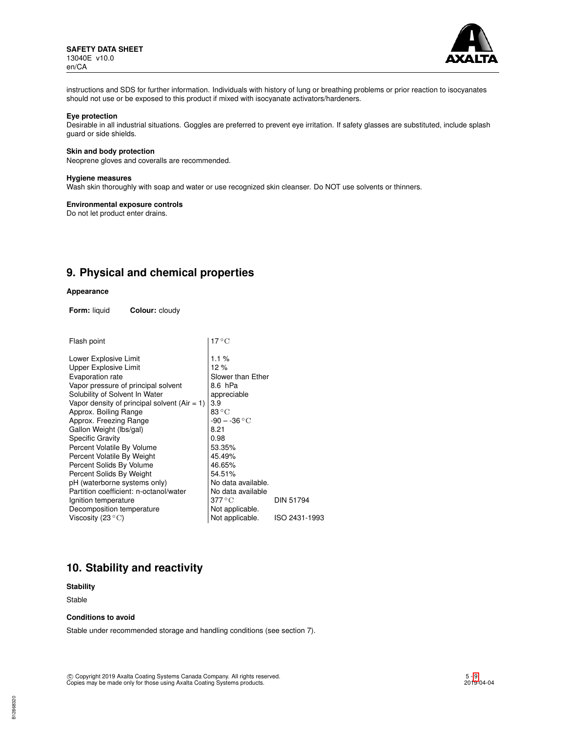

instructions and SDS for further information. Individuals with history of lung or breathing problems or prior reaction to isocyanates should not use or be exposed to this product if mixed with isocyanate activators/hardeners.

## **Eye protection**

Desirable in all industrial situations. Goggles are preferred to prevent eye irritation. If safety glasses are substituted, include splash guard or side shields.

### **Skin and body protection**

Neoprene gloves and coveralls are recommended.

### **Hygiene measures**

Wash skin thoroughly with soap and water or use recognized skin cleanser. Do NOT use solvents or thinners.

# **Environmental exposure controls**

Do not let product enter drains.

# **9. Physical and chemical properties**

# **Appearance**

**Form:** liquid **Colour:** cloudy

| Flash point                                    | $17^{\circ}$ C           |               |
|------------------------------------------------|--------------------------|---------------|
| Lower Explosive Limit                          | 1.1 $%$                  |               |
| Upper Explosive Limit                          | 12 %                     |               |
| Evaporation rate                               | Slower than Ether        |               |
| Vapor pressure of principal solvent            | 8.6 hPa                  |               |
| Solubility of Solvent In Water                 | appreciable              |               |
| Vapor density of principal solvent $(Air = 1)$ | 3.9                      |               |
| Approx. Boiling Range                          | $83\,^{\circ}\mathrm{C}$ |               |
| Approx. Freezing Range                         | $-90 - -36 °C$           |               |
| Gallon Weight (lbs/gal)                        | 8.21                     |               |
| <b>Specific Gravity</b>                        | 0.98                     |               |
| Percent Volatile By Volume                     | 53.35%                   |               |
| Percent Volatile By Weight                     | 45.49%                   |               |
| Percent Solids By Volume                       | 46.65%                   |               |
| Percent Solids By Weight                       | 54.51%                   |               |
| pH (waterborne systems only)                   | No data available.       |               |
| Partition coefficient: n-octanol/water         | No data available        |               |
| Ignition temperature                           | 377 ° C                  | DIN 51794     |
| Decomposition temperature                      | Not applicable.          |               |
| Viscosity (23 $^{\circ}$ C)                    | Not applicable.          | ISO 2431-1993 |
|                                                |                          |               |

# **10. Stability and reactivity**

**Stability**

Stable

## **Conditions to avoid**

Stable under recommended storage and handling conditions (see section 7).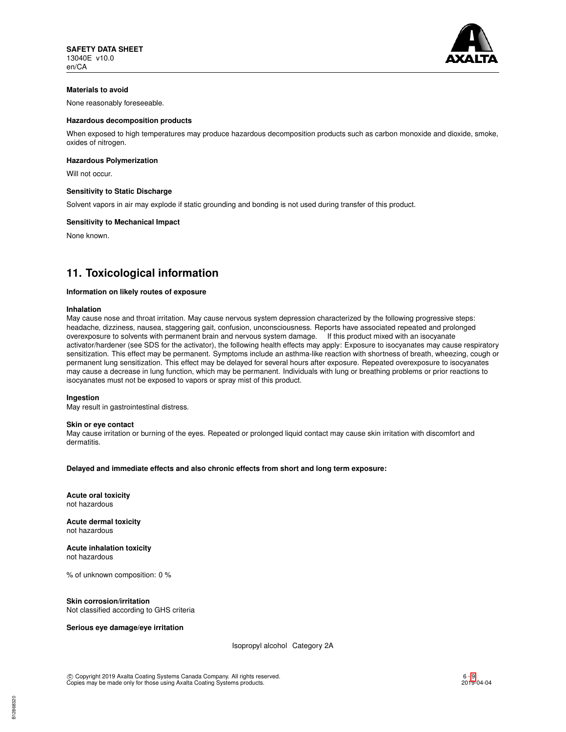

# **Materials to avoid**

None reasonably foreseeable.

### **Hazardous decomposition products**

When exposed to high temperatures may produce hazardous decomposition products such as carbon monoxide and dioxide, smoke, oxides of nitrogen.

#### **Hazardous Polymerization**

Will not occur.

### **Sensitivity to Static Discharge**

Solvent vapors in air may explode if static grounding and bonding is not used during transfer of this product.

#### **Sensitivity to Mechanical Impact**

None known.

# **11. Toxicological information**

#### **Information on likely routes of exposure**

#### **Inhalation**

May cause nose and throat irritation. May cause nervous system depression characterized by the following progressive steps: headache, dizziness, nausea, staggering gait, confusion, unconsciousness. Reports have associated repeated and prolonged overexposure to solvents with permanent brain and nervous system damage. If this product mixed with an isocyanate activator/hardener (see SDS for the activator), the following health effects may apply: Exposure to isocyanates may cause respiratory sensitization. This effect may be permanent. Symptoms include an asthma-like reaction with shortness of breath, wheezing, cough or permanent lung sensitization. This effect may be delayed for several hours after exposure. Repeated overexposure to isocyanates may cause a decrease in lung function, which may be permanent. Individuals with lung or breathing problems or prior reactions to isocyanates must not be exposed to vapors or spray mist of this product.

### **Ingestion**

May result in gastrointestinal distress.

#### **Skin or eye contact**

May cause irritation or burning of the eyes. Repeated or prolonged liquid contact may cause skin irritation with discomfort and dermatitis.

**Delayed and immediate effects and also chronic effects from short and long term exposure:**

**Acute oral toxicity** not hazardous

**Acute dermal toxicity** not hazardous

**Acute inhalation toxicity** not hazardous

% of unknown composition: 0 %

### **Skin corrosion/irritation**

Not classified according to GHS criteria

### **Serious eye damage/eye irritation**

Isopropyl alcohol Category 2A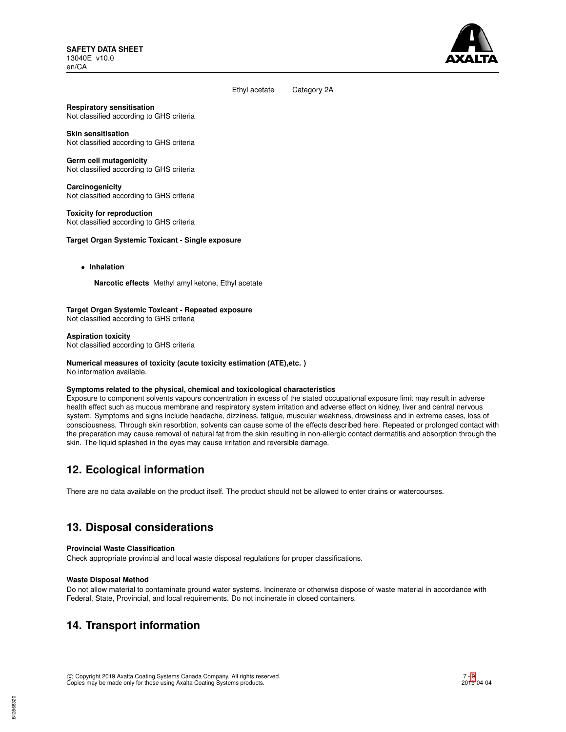

### Ethyl acetate Category 2A

**Respiratory sensitisation** Not classified according to GHS criteria

**Skin sensitisation** Not classified according to GHS criteria

**Germ cell mutagenicity** Not classified according to GHS criteria

**Carcinogenicity** Not classified according to GHS criteria

**Toxicity for reproduction** Not classified according to GHS criteria

## **Target Organ Systemic Toxicant - Single exposure**

• **Inhalation**

**Narcotic effects** Methyl amyl ketone, Ethyl acetate

# **Target Organ Systemic Toxicant - Repeated exposure**

Not classified according to GHS criteria

**Aspiration toxicity** Not classified according to GHS criteria

# **Numerical measures of toxicity (acute toxicity estimation (ATE),etc. )**

No information available.

### **Symptoms related to the physical, chemical and toxicological characteristics**

Exposure to component solvents vapours concentration in excess of the stated occupational exposure limit may result in adverse health effect such as mucous membrane and respiratory system irritation and adverse effect on kidney, liver and central nervous system. Symptoms and signs include headache, dizziness, fatigue, muscular weakness, drowsiness and in extreme cases, loss of consciousness. Through skin resorbtion, solvents can cause some of the effects described here. Repeated or prolonged contact with the preparation may cause removal of natural fat from the skin resulting in non-allergic contact dermatitis and absorption through the skin. The liquid splashed in the eyes may cause irritation and reversible damage.

# **12. Ecological information**

There are no data available on the product itself. The product should not be allowed to enter drains or watercourses.

# **13. Disposal considerations**

### **Provincial Waste Classification**

Check appropriate provincial and local waste disposal regulations for proper classifications.

### **Waste Disposal Method**

Do not allow material to contaminate ground water systems. Incinerate or otherwise dispose of waste material in accordance with Federal, State, Provincial, and local requirements. Do not incinerate in closed containers.

# **14. Transport information**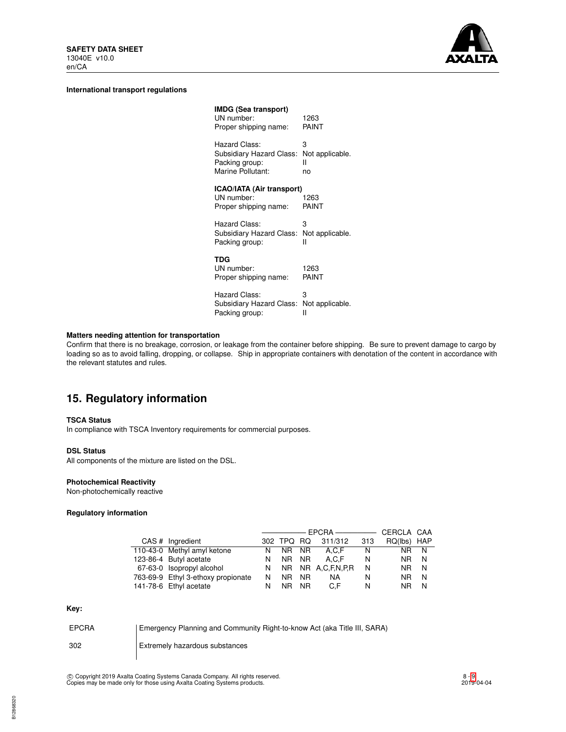

### **International transport regulations**

| <b>IMDG (Sea transport)</b><br>UN number:<br>Proper shipping name: | 1263<br>PAINT   |
|--------------------------------------------------------------------|-----------------|
| Hazard Class:                                                      | 3               |
| Subsidiary Hazard Class:                                           | Not applicable. |
| Packing group:                                                     | н               |
| Marine Pollutant:                                                  | no              |
| ICAO/IATA (Air transport)<br>UN number:<br>Proper shipping name:   | 1263<br>PAINT   |
| Hazard Class:                                                      | 3               |
| Subsidiary Hazard Class:                                           | Not applicable. |
| Packing group:                                                     | н               |
| TDG<br>UN number:<br>Proper shipping name:                         | 1263<br>PAINT   |
| Hazard Class:                                                      | 3               |
| Subsidiary Hazard Class:                                           | Not applicable. |
| Packing group:                                                     | н               |

# **Matters needing attention for transportation**

Confirm that there is no breakage, corrosion, or leakage from the container before shipping. Be sure to prevent damage to cargo by loading so as to avoid falling, dropping, or collapse. Ship in appropriate containers with denotation of the content in accordance with the relevant statutes and rules.

# **15. Regulatory information**

## **TSCA Status**

In compliance with TSCA Inventory requirements for commercial purposes.

#### **DSL Status**

All components of the mixture are listed on the DSL.

# **Photochemical Reactivity**

Non-photochemically reactive

# **Regulatory information**

|                                    |    |            |     | CERCLA CAA        |     |             |   |
|------------------------------------|----|------------|-----|-------------------|-----|-------------|---|
| CAS # Ingredient                   |    | 302 TPQ RQ |     | 311/312           | 313 | RQ(lbs) HAP |   |
| 110-43-0 Methyl amyl ketone        | N  | NR NR      |     | A.C.F             | N   | NR N        |   |
| 123-86-4 Butyl acetate             | N. | NR NR      |     | A.C.F             | N   | NR.         | N |
| 67-63-0 Isopropyl alcohol          | N. |            |     | NR NR A,C,F,N,P,R | N   | NR.         | N |
| 763-69-9 Ethyl 3-ethoxy propionate | N  | NR.        | NR. | NA.               | N   | NR.         | N |
| 141-78-6 Ethyl acetate             |    | NR I       | NR. | C.F               | N   | NR          | N |

# **Key:**

| <b>EPCRA</b> | Emergency Planning and Community Right-to-know Act (aka Title III, SARA) |
|--------------|--------------------------------------------------------------------------|
| 302          | Extremely hazardous substances                                           |